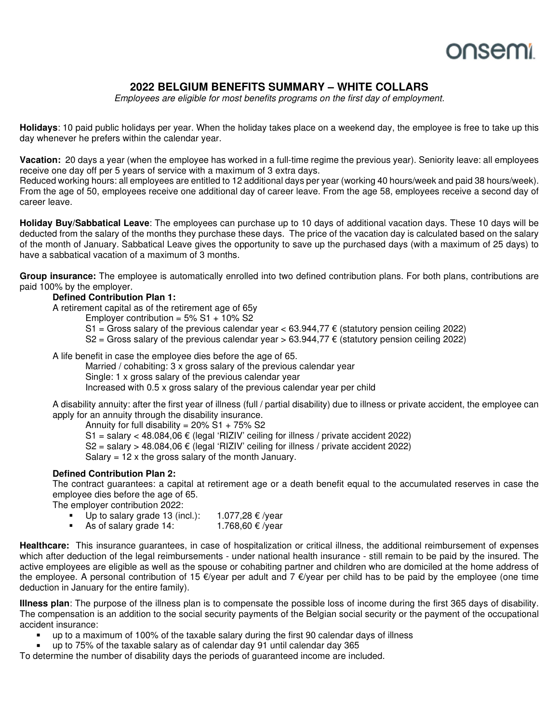## ว∩sen

### **2022 BELGIUM BENEFITS SUMMARY – WHITE COLLARS**

Employees are eligible for most benefits programs on the first day of employment.

**Holidays**: 10 paid public holidays per year. When the holiday takes place on a weekend day, the employee is free to take up this day whenever he prefers within the calendar year.

**Vacation:** 20 days a year (when the employee has worked in a full-time regime the previous year). Seniority leave: all employees receive one day off per 5 years of service with a maximum of 3 extra days.

Reduced working hours: all employees are entitled to 12 additional days per year (working 40 hours/week and paid 38 hours/week). From the age of 50, employees receive one additional day of career leave. From the age 58, employees receive a second day of career leave.

**Holiday Buy/Sabbatical Leave**: The employees can purchase up to 10 days of additional vacation days. These 10 days will be deducted from the salary of the months they purchase these days. The price of the vacation day is calculated based on the salary of the month of January. Sabbatical Leave gives the opportunity to save up the purchased days (with a maximum of 25 days) to have a sabbatical vacation of a maximum of 3 months.

**Group insurance:** The employee is automatically enrolled into two defined contribution plans. For both plans, contributions are paid 100% by the employer.

### **Defined Contribution Plan 1:**

A retirement capital as of the retirement age of 65y

Employer contribution =  $5\% S1 + 10\% S2$ 

S1 = Gross salary of the previous calendar year  $<$  63.944,77  $\epsilon$  (statutory pension ceiling 2022)

S2 = Gross salary of the previous calendar year > 63.944,77  $\epsilon$  (statutory pension ceiling 2022)

A life benefit in case the employee dies before the age of 65.

Married / cohabiting: 3 x gross salary of the previous calendar year Single: 1 x gross salary of the previous calendar year

Increased with 0.5 x gross salary of the previous calendar year per child

A disability annuity: after the first year of illness (full / partial disability) due to illness or private accident, the employee can apply for an annuity through the disability insurance.

Annuity for full disability =  $20\% S1 + 75\% S2$ 

S1 = salary < 48.084,06  $\epsilon$  (legal 'RIZIV' ceiling for illness / private accident 2022)

 $S2$  = salary > 48.084,06  $\epsilon$  (legal 'RIZIV' ceiling for illness / private accident 2022)

Salary  $= 12$  x the gross salary of the month January.

#### **Defined Contribution Plan 2:**

The contract guarantees: a capital at retirement age or a death benefit equal to the accumulated reserves in case the employee dies before the age of 65.

The employer contribution 2022:

- Up to salary grade 13 (incl.): 1.077,28  $€$  /year
- As of salary grade 14:  $1.768,60 \in \sqrt{2}$

**Healthcare:** This insurance guarantees, in case of hospitalization or critical illness, the additional reimbursement of expenses which after deduction of the legal reimbursements - under national health insurance - still remain to be paid by the insured. The active employees are eligible as well as the spouse or cohabiting partner and children who are domiciled at the home address of the employee. A personal contribution of 15 €/year per adult and 7 €/year per child has to be paid by the employee (one time deduction in January for the entire family).

**Illness plan**: The purpose of the illness plan is to compensate the possible loss of income during the first 365 days of disability. The compensation is an addition to the social security payments of the Belgian social security or the payment of the occupational accident insurance:

up to a maximum of 100% of the taxable salary during the first 90 calendar days of illness

up to 75% of the taxable salary as of calendar day 91 until calendar day 365

To determine the number of disability days the periods of guaranteed income are included.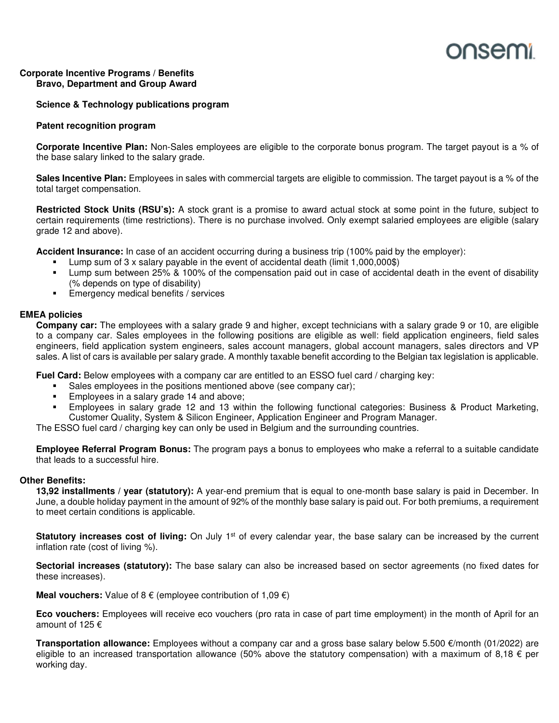# onsem

#### **Corporate Incentive Programs / Benefits Bravo, Department and Group Award**

#### **Science & Technology publications program**

#### **Patent recognition program**

**Corporate Incentive Plan:** Non-Sales employees are eligible to the corporate bonus program. The target payout is a % of the base salary linked to the salary grade.

**Sales Incentive Plan:** Employees in sales with commercial targets are eligible to commission. The target payout is a % of the total target compensation.

**Restricted Stock Units (RSU's):** A stock grant is a promise to award actual stock at some point in the future, subject to certain requirements (time restrictions). There is no purchase involved. Only exempt salaried employees are eligible (salary grade 12 and above).

**Accident Insurance:** In case of an accident occurring during a business trip (100% paid by the employer):

- Lump sum of 3 x salary payable in the event of accidental death (limit 1,000,000\$)
- Lump sum between 25% & 100% of the compensation paid out in case of accidental death in the event of disability (% depends on type of disability)
- Emergency medical benefits / services

#### **EMEA policies**

**Company car:** The employees with a salary grade 9 and higher, except technicians with a salary grade 9 or 10, are eligible to a company car. Sales employees in the following positions are eligible as well: field application engineers, field sales engineers, field application system engineers, sales account managers, global account managers, sales directors and VP sales. A list of cars is available per salary grade. A monthly taxable benefit according to the Belgian tax legislation is applicable.

**Fuel Card:** Below employees with a company car are entitled to an ESSO fuel card / charging key:

- Sales employees in the positions mentioned above (see company car);
- Employees in a salary grade 14 and above;
- Employees in salary grade 12 and 13 within the following functional categories: Business & Product Marketing, Customer Quality, System & Silicon Engineer, Application Engineer and Program Manager.

The ESSO fuel card / charging key can only be used in Belgium and the surrounding countries.

**Employee Referral Program Bonus:** The program pays a bonus to employees who make a referral to a suitable candidate that leads to a successful hire.

#### **Other Benefits:**

**13,92 installments / year (statutory):** A year-end premium that is equal to one-month base salary is paid in December. In June, a double holiday payment in the amount of 92% of the monthly base salary is paid out. For both premiums, a requirement to meet certain conditions is applicable.

**Statutory increases cost of living:** On July 1<sup>st</sup> of every calendar year, the base salary can be increased by the current inflation rate (cost of living %).

**Sectorial increases (statutory):** The base salary can also be increased based on sector agreements (no fixed dates for these increases).

**Meal vouchers:** Value of 8 € (employee contribution of 1,09 €)

**Eco vouchers:** Employees will receive eco vouchers (pro rata in case of part time employment) in the month of April for an amount of 125 €

**Transportation allowance:** Employees without a company car and a gross base salary below 5.500 €/month (01/2022) are eligible to an increased transportation allowance (50% above the statutory compensation) with a maximum of 8,18  $\epsilon$  per working day.